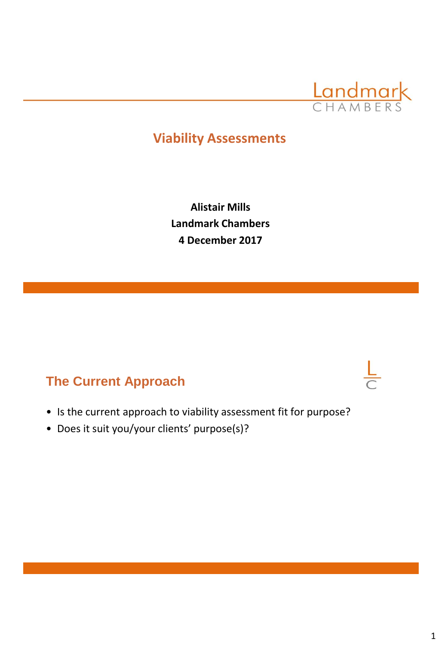

# **Viability Assessments**

**Alistair Mills Landmark Chambers 4 December 2017**

## **The Current Approach**

- Is the current approach to viability assessment fit for purpose?
- Does it suit you/your clients' purpose(s)?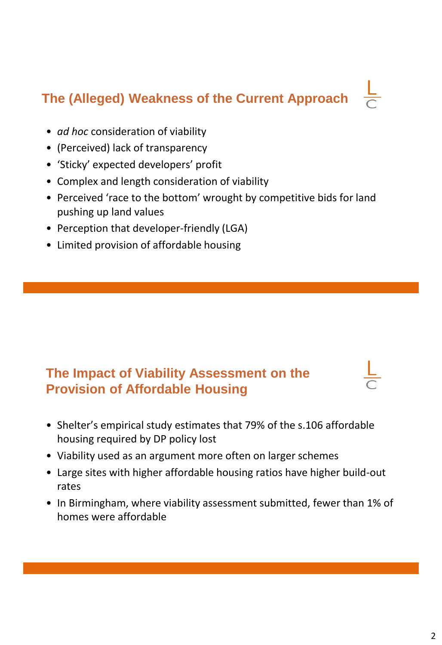# **The (Alleged) Weakness of the Current Approach**

- *ad hoc* consideration of viability
- (Perceived) lack of transparency
- 'Sticky' expected developers' profit
- Complex and length consideration of viability
- Perceived 'race to the bottom' wrought by competitive bids for land pushing up land values
- Perception that developer-friendly (LGA)
- Limited provision of affordable housing

# **The Impact of Viability Assessment on the Provision of Affordable Housing**

- Shelter's empirical study estimates that 79% of the s.106 affordable housing required by DP policy lost
- Viability used as an argument more often on larger schemes
- Large sites with higher affordable housing ratios have higher build-out rates
- In Birmingham, where viability assessment submitted, fewer than 1% of homes were affordable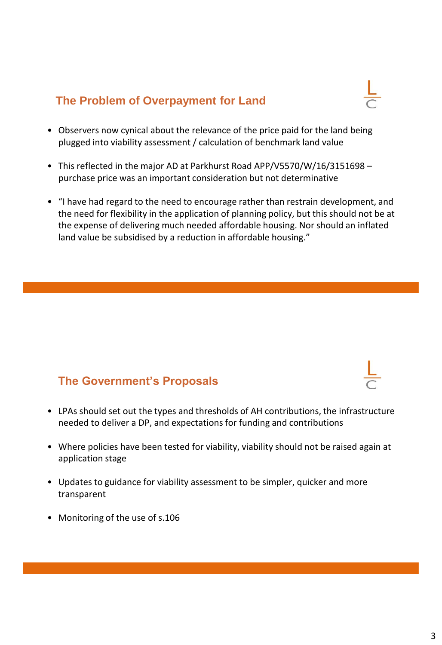### **The Problem of Overpayment for Land**



- Observers now cynical about the relevance of the price paid for the land being plugged into viability assessment / calculation of benchmark land value
- This reflected in the major AD at Parkhurst Road APP/V5570/W/16/3151698 purchase price was an important consideration but not determinative
- "I have had regard to the need to encourage rather than restrain development, and the need for flexibility in the application of planning policy, but this should not be at the expense of delivering much needed affordable housing. Nor should an inflated land value be subsidised by a reduction in affordable housing."

### **The Government's Proposals**

- LPAs should set out the types and thresholds of AH contributions, the infrastructure needed to deliver a DP, and expectations for funding and contributions
- Where policies have been tested for viability, viability should not be raised again at application stage
- Updates to guidance for viability assessment to be simpler, quicker and more transparent
- Monitoring of the use of s.106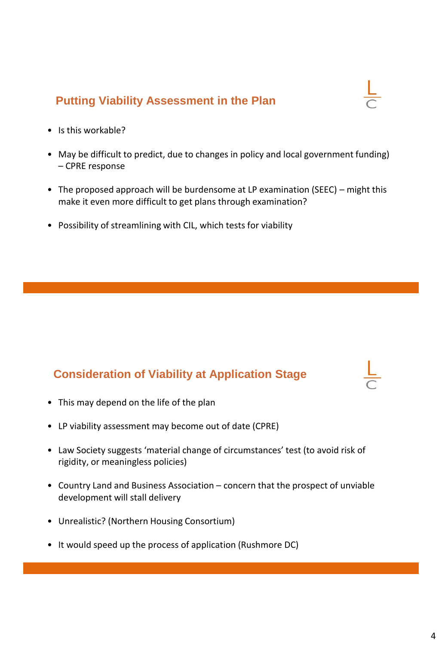### **Putting Viability Assessment in the Plan**

- Is this workable?
- May be difficult to predict, due to changes in policy and local government funding) – CPRE response
- The proposed approach will be burdensome at LP examination (SEEC) might this make it even more difficult to get plans through examination?
- Possibility of streamlining with CIL, which tests for viability

### **Consideration of Viability at Application Stage**

- This may depend on the life of the plan
- LP viability assessment may become out of date (CPRE)
- Law Society suggests 'material change of circumstances' test (to avoid risk of rigidity, or meaningless policies)
- Country Land and Business Association concern that the prospect of unviable development will stall delivery
- Unrealistic? (Northern Housing Consortium)
- It would speed up the process of application (Rushmore DC)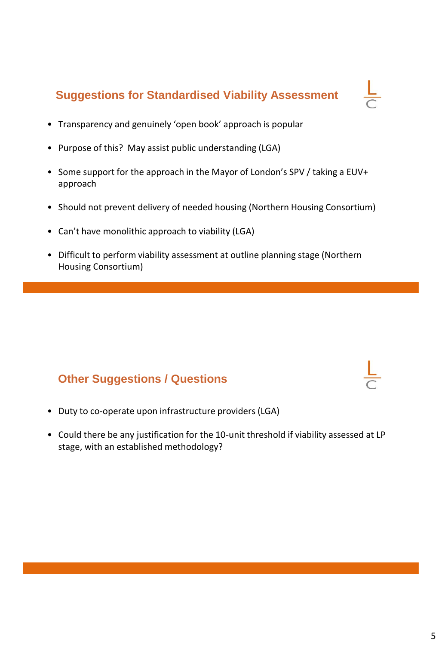### **Suggestions for Standardised Viability Assessment**

- Transparency and genuinely 'open book' approach is popular
- Purpose of this? May assist public understanding (LGA)
- Some support for the approach in the Mayor of London's SPV / taking a EUV+ approach
- Should not prevent delivery of needed housing (Northern Housing Consortium)
- Can't have monolithic approach to viability (LGA)
- Difficult to perform viability assessment at outline planning stage (Northern Housing Consortium)

### **Other Suggestions / Questions**

- Duty to co-operate upon infrastructure providers (LGA)
- Could there be any justification for the 10-unit threshold if viability assessed at LP stage, with an established methodology?